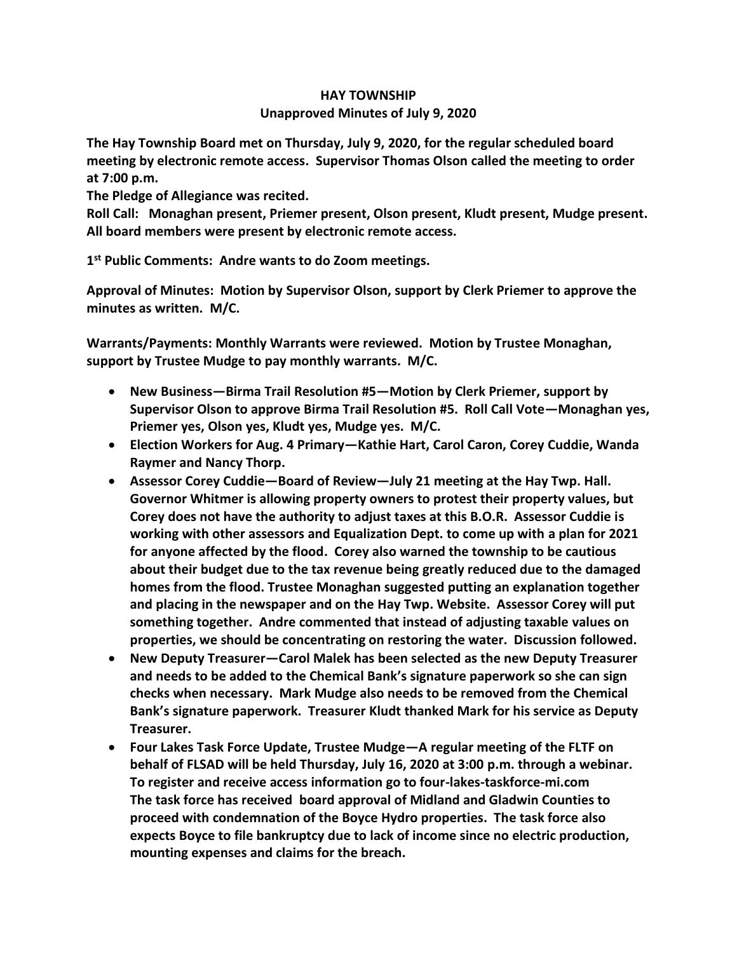## **HAY TOWNSHIP Unapproved Minutes of July 9, 2020**

**The Hay Township Board met on Thursday, July 9, 2020, for the regular scheduled board meeting by electronic remote access. Supervisor Thomas Olson called the meeting to order at 7:00 p.m.** 

**The Pledge of Allegiance was recited.** 

**Roll Call: Monaghan present, Priemer present, Olson present, Kludt present, Mudge present. All board members were present by electronic remote access.**

**1 st Public Comments: Andre wants to do Zoom meetings.**

**Approval of Minutes: Motion by Supervisor Olson, support by Clerk Priemer to approve the minutes as written. M/C.**

**Warrants/Payments: Monthly Warrants were reviewed. Motion by Trustee Monaghan, support by Trustee Mudge to pay monthly warrants. M/C.**

- **New Business—Birma Trail Resolution #5—Motion by Clerk Priemer, support by Supervisor Olson to approve Birma Trail Resolution #5. Roll Call Vote—Monaghan yes, Priemer yes, Olson yes, Kludt yes, Mudge yes. M/C.**
- **Election Workers for Aug. 4 Primary—Kathie Hart, Carol Caron, Corey Cuddie, Wanda Raymer and Nancy Thorp.**
- **Assessor Corey Cuddie—Board of Review—July 21 meeting at the Hay Twp. Hall. Governor Whitmer is allowing property owners to protest their property values, but Corey does not have the authority to adjust taxes at this B.O.R. Assessor Cuddie is working with other assessors and Equalization Dept. to come up with a plan for 2021 for anyone affected by the flood. Corey also warned the township to be cautious about their budget due to the tax revenue being greatly reduced due to the damaged homes from the flood. Trustee Monaghan suggested putting an explanation together and placing in the newspaper and on the Hay Twp. Website. Assessor Corey will put something together. Andre commented that instead of adjusting taxable values on properties, we should be concentrating on restoring the water. Discussion followed.**
- **New Deputy Treasurer—Carol Malek has been selected as the new Deputy Treasurer and needs to be added to the Chemical Bank's signature paperwork so she can sign checks when necessary. Mark Mudge also needs to be removed from the Chemical Bank's signature paperwork. Treasurer Kludt thanked Mark for his service as Deputy Treasurer.**
- **Four Lakes Task Force Update, Trustee Mudge—A regular meeting of the FLTF on behalf of FLSAD will be held Thursday, July 16, 2020 at 3:00 p.m. through a webinar. To register and receive access information go to four-lakes-taskforce-mi.com The task force has received board approval of Midland and Gladwin Counties to proceed with condemnation of the Boyce Hydro properties. The task force also expects Boyce to file bankruptcy due to lack of income since no electric production, mounting expenses and claims for the breach.**